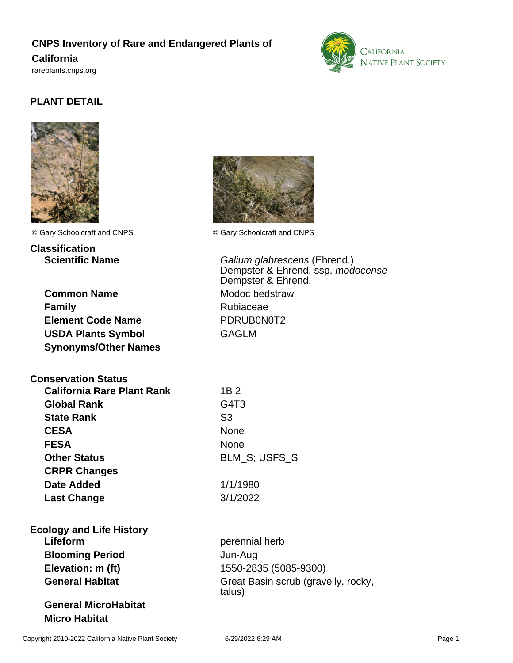## **CNPS Inventory of Rare and Endangered Plants of**

### **California**

<rareplants.cnps.org>



# **PLANT DETAIL**



**Classification**

**Common Name** Modoc bedstraw **Family** Rubiaceae **Element Code Name** PDRUB0N0T2 **USDA Plants Symbol GAGLM Synonyms/Other Names**

**Conservation Status**

| <b>California Rare Plant Rank</b> | 1B.2                          |
|-----------------------------------|-------------------------------|
| <b>Global Rank</b>                | G <sub>4</sub> T <sub>3</sub> |
| <b>State Rank</b>                 | S <sub>3</sub>                |
| <b>CESA</b>                       | <b>None</b>                   |
| <b>FESA</b>                       | <b>None</b>                   |
| <b>Other Status</b>               | <b>BLM S; USFS S</b>          |
| <b>CRPR Changes</b>               |                               |
| <b>Date Added</b>                 | 1/1/1980                      |
| <b>Last Change</b>                | 3/1/2022                      |

**Ecology and Life History Lifeform perennial herb Blooming Period** Jun-Aug **Elevation: m (ft)** 1550-2835 (5085-9300)

**General MicroHabitat Micro Habitat**



© Gary Schoolcraft and CNPS © Gary Schoolcraft and CNPS

**Scientific Name** Galium glabrescens (Ehrend.) Dempster & Ehrend. ssp. modocense Dempster & Ehrend.

| 1B.2     |                      |
|----------|----------------------|
| G4T3     |                      |
| S3       |                      |
| None     |                      |
| None     |                      |
|          | <b>BLM S: USFS S</b> |
|          |                      |
| 1/1/1980 |                      |

General Habitat **Great Basin scrub (gravelly, rocky,** talus)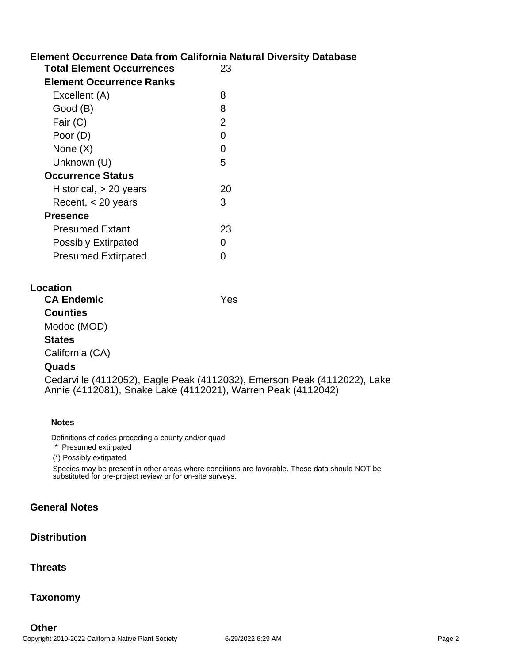## **Element Occurrence Data from California Natural Diversity Database**

| <b>Total Element Occurrences</b><br><b>Element Occurrence Ranks</b> | 23             |
|---------------------------------------------------------------------|----------------|
| Excellent (A)                                                       | 8              |
| Good (B)                                                            | 8              |
| Fair (C)                                                            | $\overline{2}$ |
| Poor (D)                                                            | O              |
| None $(X)$                                                          | O              |
| Unknown (U)                                                         | 5              |
| <b>Occurrence Status</b>                                            |                |
| Historical, $> 20$ years                                            | 20             |
| Recent, < 20 years                                                  | 3              |
| <b>Presence</b>                                                     |                |
| <b>Presumed Extant</b>                                              | 23             |
| <b>Possibly Extirpated</b>                                          | ∩              |
| <b>Presumed Extirpated</b>                                          |                |

| Location |
|----------|
|----------|

| <b>CA Endemic</b> | Yes                                                                      |
|-------------------|--------------------------------------------------------------------------|
| <b>Counties</b>   |                                                                          |
| Modoc (MOD)       |                                                                          |
| <b>States</b>     |                                                                          |
| California (CA)   |                                                                          |
| Quads             |                                                                          |
|                   | Cedarville (4112052), Eagle Peak (4112032), Emerson Peak (4112022), Lake |

**Notes**

Definitions of codes preceding a county and/or quad:

\* Presumed extirpated

(\*) Possibly extirpated

Species may be present in other areas where conditions are favorable. These data should NOT be substituted for pre-project review or for on-site surveys.

Annie (4112081), Snake Lake (4112021), Warren Peak (4112042)

### **General Notes**

#### **Distribution**

**Threats**

**Taxonomy**